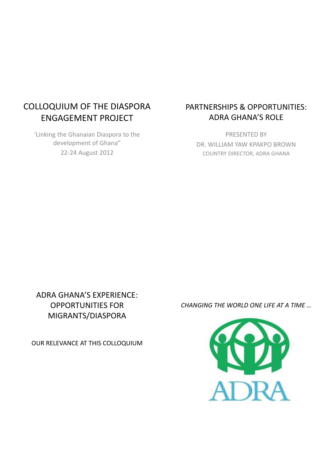# COLLOQUIUM OF THE DIASPORA ENGAGEMENT PROJECT

'Linking the Ghanaian Diaspora to the development of Ghana" 22-24 August 2012

# PARTNERSHIPS & OPPORTUNITIES: ADRA GHANA'S ROLE

PRESENTED BY DR. WILLIAM YAW KPAKPO BROWN COUNTRY DIRECTOR, ADRA GHANA

ADRA GHANA'S EXPERIENCE: OPPORTUNITIES FOR MIGRANTS/DIASPORA

OUR RELEVANCE AT THIS COLLOQUIUM

*CHANGING THE WORLD ONE LIFE AT A TIME …*

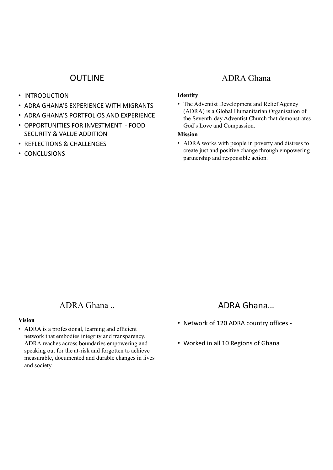# **OUTLINE**

- INTRODUCTION
- ADRA GHANA'S EXPERIENCE WITH MIGRANTS
- ADRA GHANA'S PORTFOLIOS AND EXPERIENCE
- OPPORTUNITIES FOR INVESTMENT FOOD SECURITY & VALUE ADDITION
- REFLECTIONS & CHALLENGES
- CONCLUSIONS

## ADRA Ghana

### **Identity**

• The Adventist Development and Relief Agency (ADRA) is a Global Humanitarian Organisation of the Seventh-day Adventist Church that demonstrates God's Love and Compassion.

### **Mission**

• ADRA works with people in poverty and distress to create just and positive change through empowering partnership and responsible action.

## ADRA Ghana ..

### **Vision**

• ADRA is a professional, learning and efficient network that embodies integrity and transparency. ADRA reaches across boundaries empowering and speaking out for the at-risk and forgotten to achieve measurable, documented and durable changes in lives and society.

# ADRA Ghana…

- Network of 120 ADRA country offices -
- Worked in all 10 Regions of Ghana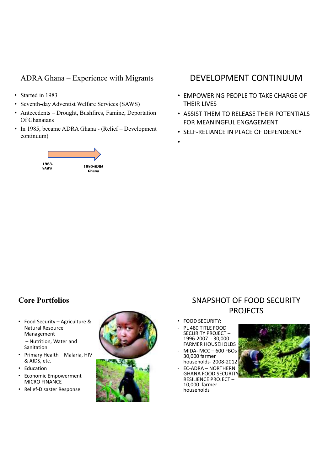## ADRA Ghana – Experience with Migrants

- Started in 1983
- Seventh-day Adventist Welfare Services (SAWS)
- Antecedents Drought, Bushfires, Famine, Deportation Of Ghanaians
- In 1985, became ADRA Ghana (Relief Development continuum)



# DEVELOPMENT CONTINUUM

- EMPOWERING PEOPLE TO TAKE CHARGE OF THEIR LIVES
- ASSIST THEM TO RELEASE THEIR POTENTIALS FOR MEANINGFUL ENGAGEMENT
- SELF-RELIANCE IN PLACE OF DEPENDENCY
- •

# **Core Portfolios**

- Food Security Agriculture & Natural Resource Management – Nutrition, Water and Sanitation
- Primary Health Malaria, HIV & AIDS, etc.
- Education
- Economic Empowerment MICRO FINANCE
- Relief-Disaster Response



# SNAPSHOT OF FOOD SECURITY PROJECTS

- FOOD SECURITY:
- PL 480 TITLE FOOD SECURITY PROJECT – 1996-2007 - 30,000 FARMER HOUSEHOLDS
- $MIDA- MCC 600 FBOs$ 30,000 farmer households- 2008-2012
- EC-ADRA NORTHERN GHANA FOOD SECURITY RESILIENCE PROJECT – 10,000 farmer households

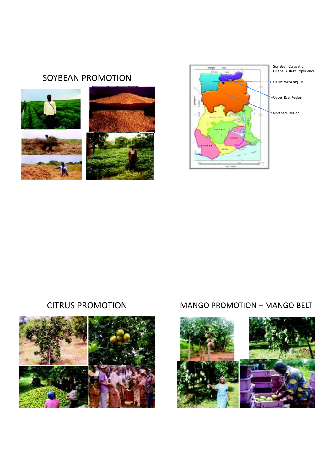# SOYBEAN PROMOTION







# CITRUS PROMOTION MANGO PROMOTION – MANGO BELT

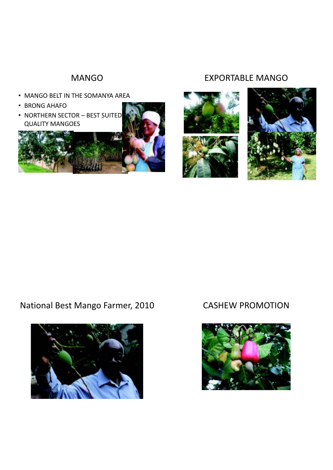# MANGO

- MANGO BELT IN THE SOMANYA AREA
- BRONG AHAFO
- NORTHERN SECTOR BEST SUITED QUALITY MANGOES



# EXPORTABLE MANGO





# National Best Mango Farmer, 2010 CASHEW PROMOTION



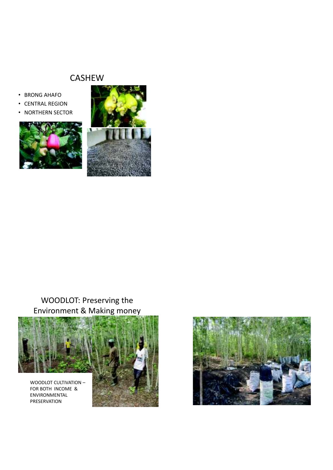# CASHEW

- BRONG AHAFO
- CENTRAL REGION
- NORTHERN SECTOR





# WOODLOT: Preserving the Environment & Making money



WOODLOT CULTIVATION – FOR BOTH INCOME & ENVIRONMENTAL PRESERVATION



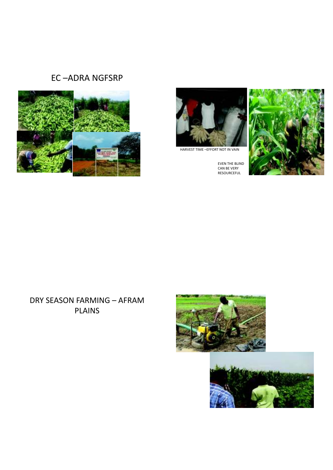# EC –ADRA NGFSRP





HARVEST TIME –EFFORT NOT IN VAIN

EVEN THE BLIND CAN BE VERY RESOURCEFUL



# DRY SEASON FARMING – AFRAM PLAINS



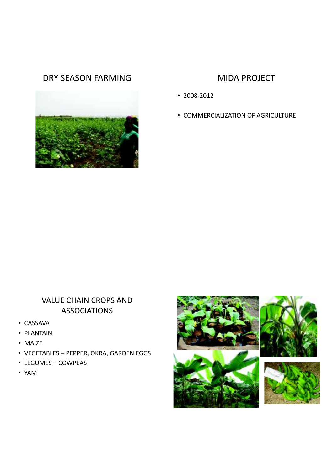# DRY SEASON FARMING MIDA PROJECT



- 2008-2012
- COMMERCIALIZATION OF AGRICULTURE

# VALUE CHAIN CROPS AND ASSOCIATIONS

- CASSAVA
- PLANTAIN
- MAIZE
- VEGETABLES PEPPER, OKRA, GARDEN EGGS
- LEGUMES COWPEAS
- YAM

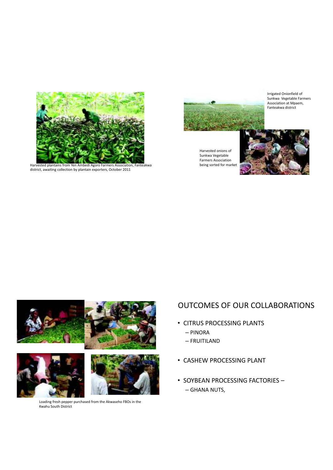

Harvested plantains from Yen Ambedi Agoro Farmers Association, Fanteakwa district, awaiting collection by plantain exporters, October 2011



Harvested onions of Sunkwa Vegetable Farmers Association being sorted for market

Irrigated Onionfield of Sunkwa Vegetable Farmers Association at Mpaem, Fanteakwa district





Loading fresh pepper purchased from the Akwaseho FBOs in the Kwahu South District

## OUTCOMES OF OUR COLLABORATIONS

- CITRUS PROCESSING PLANTS – PINORA
	- FRUITILAND
- CASHEW PROCESSING PLANT
- SOYBEAN PROCESSING FACTORIES – GHANA NUTS,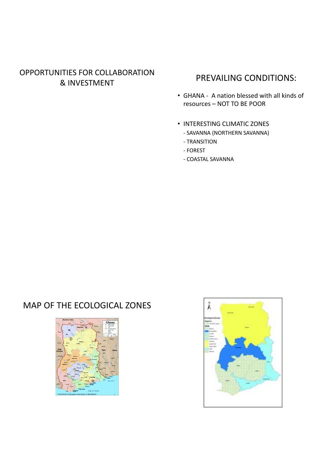# OPPORTUNITIES FOR COLLABORATION **EXAMPLES FOR COLLABORATION**<br> **& INVESTMENT**

- GHANA A nation blessed with all kinds of resources – NOT TO BE POOR
- INTERESTING CLIMATIC ZONES
	- SAVANNA (NORTHERN SAVANNA)
	- TRANSITION
	- FOREST
	- COASTAL SAVANNA

# MAP OF THE ECOLOGICAL ZONES



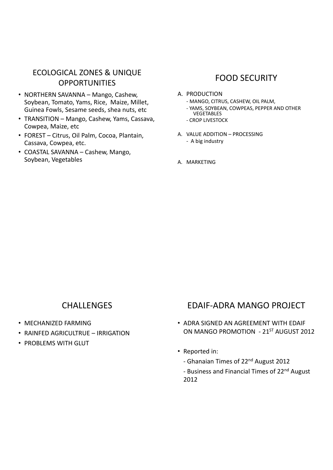# ECOLOGICAL ZONES & UNIQUE **OPPORTUNITIES**

- NORTHERN SAVANNA Mango, Cashew, Soybean, Tomato, Yams, Rice, Maize, Millet, Guinea Fowls, Sesame seeds, shea nuts, etc
- TRANSITION Mango, Cashew, Yams, Cassava, Cowpea, Maize, etc
- FOREST Citrus, Oil Palm, Cocoa, Plantain, Cassava, Cowpea, etc.
- COASTAL SAVANNA Cashew, Mango, Soybean, Vegetables

# FOOD SECURITY

- A. PRODUCTION
	- MANGO, CITRUS, CASHEW, OIL PALM,
	- YAMS, SOYBEAN, COWPEAS, PEPPER AND OTHER **VEGETABLES**
	- CROP LIVESTOCK
- A. VALUE ADDITION PROCESSING - A big industry
- A. MARKETING

# **CHALLENGES**

- MECHANIZED FARMING
- RAINFED AGRICULTRUE IRRIGATION
- PROBLEMS WITH GLUT

# EDAIF-ADRA MANGO PROJECT

- ADRA SIGNED AN AGREEMENT WITH EDAIF ON MANGO PROMOTION - 21ST AUGUST 2012
- Reported in:
	- Ghanaian Times of 22nd August 2012
	- Business and Financial Times of 22<sup>nd</sup> August 2012